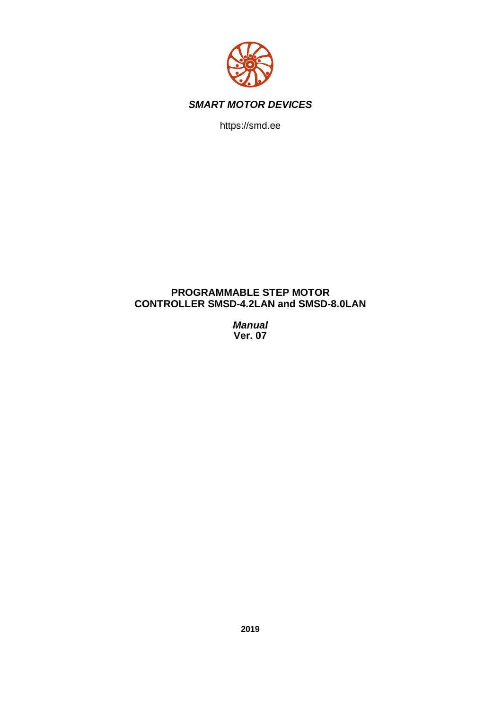

https://smd.ee

## **PROGRAMMABLE STEP MOTOR CONTROLLER SMSD-4.2LAN and SMSD-8.0LAN**

*Manual* **Ver. 07**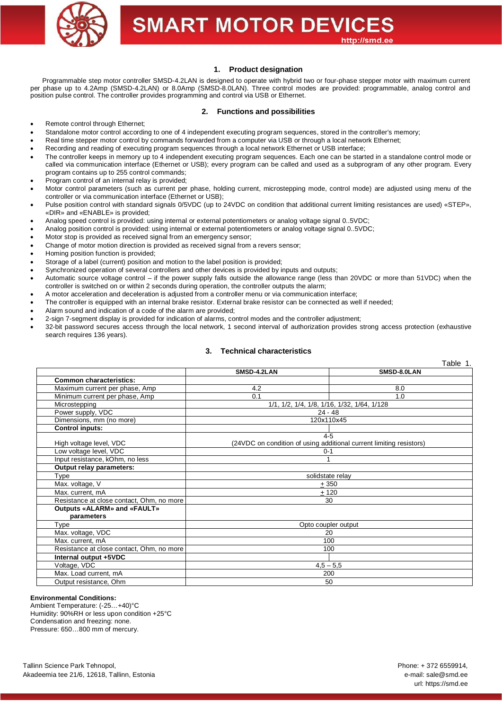

## **1. Product designation**

Programmable step motor controller SMSD-4.2LAN is designed to operate with hybrid two or four-phase stepper motor with maximum current per phase up to 4.2Amp (SMSD-4.2LAN) or 8.0Amp (SMSD-8.0LAN). Three control modes are provided: programmable, analog control and position pulse control. The controller provides programming and control via USB or Ethernet.

### **2. Functions and possibilities**

- Remote control through Ethernet;
- Standalone motor control according to one of 4 independent executing program sequences, stored in the controller's memory;
- · Real time stepper motor control by commands forwarded from a computer via USB or through a local network Ethernet;
- Recording and reading of executing program sequences through a local network Ethernet or USB interface;
- The controller keeps in memory up to 4 independent executing program sequences. Each one can be started in a standalone control mode or called via communication interface (Ethernet or USB); every program can be called and used as a subprogram of any other program. Every program contains up to 255 control commands;
- Program control of an internal relay is provided:
- · Motor control parameters (such as current per phase, holding current, microstepping mode, control mode) are adjusted using menu of the controller or via communication interface (Ethernet or USB);
- Pulse position control with standard signals 0/5VDC (up to 24VDC on condition that additional current limiting resistances are used) «STEP», «DIR» and «ENABLE» is provided;
- · Analog speed control is provided: using internal or external potentiometers or analog voltage signal 0..5VDC;
- · Analog position control is provided: using internal or external potentiometers or analog voltage signal 0..5VDC;
- Motor stop is provided as received signal from an emergency sensor;
- Change of motor motion direction is provided as received signal from a revers sensor;
- · Homing position function is provided;
- Storage of a label (current) position and motion to the label position is provided;
- Synchronized operation of several controllers and other devices is provided by inputs and outputs;
- Automatic source voltage control if the power supply falls outside the allowance range (less than 20VDC or more than 51VDC) when the controller is switched on or within 2 seconds during operation, the controller outputs the alarm;
- · A motor acceleration and deceleration is adjusted from a controller menu or via communication interface;
- The controller is equipped with an internal brake resistor. External brake resistor can be connected as well if needed;
- Alarm sound and indication of a code of the alarm are provided;
- · 2-sign 7-segment display is provided for indication of alarms, control modes and the controller adjustment;
- · 32-bit password secures access through the local network, 1 second interval of authorization provides strong access protection (exhaustive search requires 136 years).

### **3. Technical characteristics**

|                                           |             | Table 1.                                                            |
|-------------------------------------------|-------------|---------------------------------------------------------------------|
|                                           | SMSD-4.2LAN | SMSD-8.0LAN                                                         |
| <b>Common characteristics:</b>            |             |                                                                     |
| Maximum current per phase, Amp            | 4.2         | 8.0                                                                 |
| Minimum current per phase, Amp            | 0.1         | 1.0                                                                 |
| Microstepping                             |             | 1/1, 1/2, 1/4, 1/8, 1/16, 1/32, 1/64, 1/128                         |
| Power supply, VDC                         |             | $24 - 48$                                                           |
| Dimensions, mm (no more)                  |             | 120x110x45                                                          |
| <b>Control inputs:</b>                    |             |                                                                     |
|                                           |             | $4 - 5$                                                             |
| High voltage level, VDC                   |             | (24VDC on condition of using additional current limiting resistors) |
| Low voltage level, VDC                    |             | $0 - 1$                                                             |
| Input resistance, kOhm, no less           |             |                                                                     |
| Output relay parameters:                  |             |                                                                     |
| Type                                      |             | solidstate relay                                                    |
| Max. voltage, V                           |             | ± 350                                                               |
| Max. current, mA                          |             | ± 120                                                               |
| Resistance at close contact, Ohm, no more |             | 30                                                                  |
| <b>Outputs «ALARM» and «FAULT»</b>        |             |                                                                     |
| parameters                                |             |                                                                     |
| Type                                      |             | Opto coupler output                                                 |
| Max. voltage, VDC                         |             | 20                                                                  |
| Max. current, mA                          |             | 100                                                                 |
| Resistance at close contact, Ohm, no more |             | 100                                                                 |
| Internal output +5VDC                     |             |                                                                     |
| Voltage, VDC                              |             | $4,5 - 5,5$                                                         |
| Max. Load current, mA                     |             | 200                                                                 |
| Output resistance, Ohm                    |             | 50                                                                  |

#### **Environmental Conditions:**

Ambient Temperature: (-25…+40)°C Humidity: 90%RH or less upon condition +25°C Condensation and freezing: none. Pressure: 650…800 mm of mercury.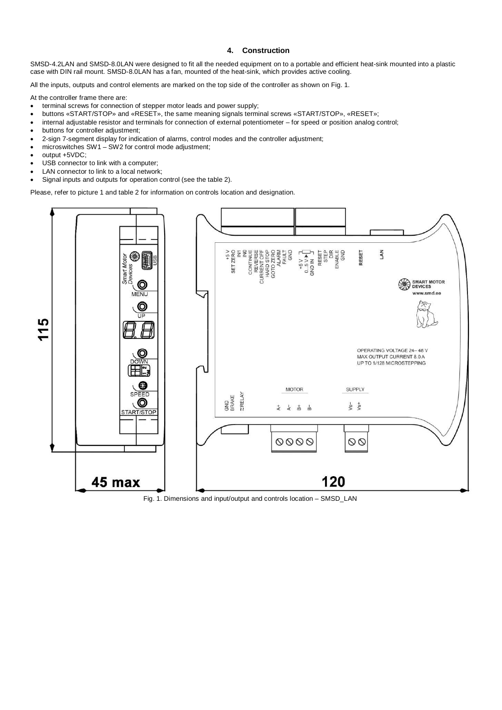## **4. Construction**

SMSD-4.2LAN and SMSD-8.0LAN were designed to fit all the needed equipment on to a portable and efficient heat-sink mounted into a plastic case with DIN rail mount. SMSD-8.0LAN has a fan, mounted of the heat-sink, which provides active cooling.

All the inputs, outputs and control elements are marked on the top side of the controller as shown on Fig. 1.

At the controller frame there are:

- terminal screws for connection of stepper motor leads and power supply;
- · buttons «START/STOP» and «RESET», the same meaning signals terminal screws «START/STOP», «RESET»;
- · internal adjustable resistor and terminals for connection of external potentiometer for speed or position analog control;
- buttons for controller adjustment;
- · 2-sign 7-segment display for indication of alarms, control modes and the controller adjustment;
- microswitches  $SW1 SW2$  for control mode adjustment;
- · output +5VDC;
- USB connector to link with a computer;
- · LAN connector to link to a local network;
- Signal inputs and outputs for operation control (see the table 2).

Please, refer to picture 1 and table 2 for information on controls location and designation.



Fig. 1. Dimensions and input/output and controls location – SMSD\_LAN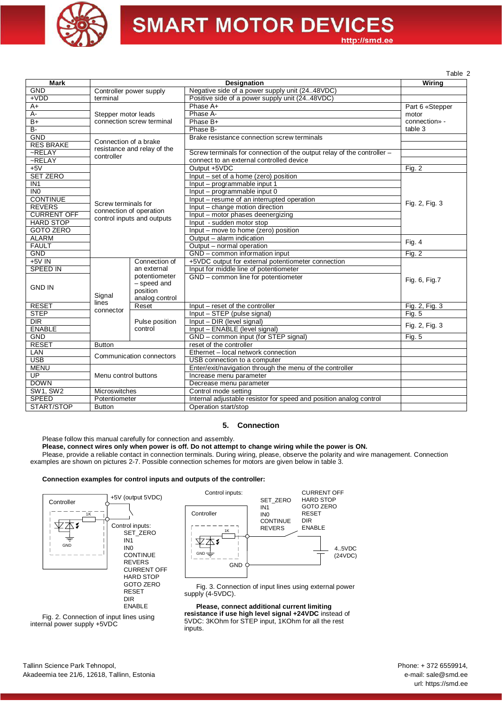

http://smd.ee

Table 2

| <b>Mark</b>        |                                                                                                                                                                                                                                                                                                                                                                                                                                                                                                                                   |               | Designation                                                                                                                                                                                                                                                                                                                                                                                                                                                                                                                                                                                                                                                                                                                                                                                                                                                         | Wiring                                                                                                                                               |
|--------------------|-----------------------------------------------------------------------------------------------------------------------------------------------------------------------------------------------------------------------------------------------------------------------------------------------------------------------------------------------------------------------------------------------------------------------------------------------------------------------------------------------------------------------------------|---------------|---------------------------------------------------------------------------------------------------------------------------------------------------------------------------------------------------------------------------------------------------------------------------------------------------------------------------------------------------------------------------------------------------------------------------------------------------------------------------------------------------------------------------------------------------------------------------------------------------------------------------------------------------------------------------------------------------------------------------------------------------------------------------------------------------------------------------------------------------------------------|------------------------------------------------------------------------------------------------------------------------------------------------------|
| <b>GND</b>         |                                                                                                                                                                                                                                                                                                                                                                                                                                                                                                                                   |               |                                                                                                                                                                                                                                                                                                                                                                                                                                                                                                                                                                                                                                                                                                                                                                                                                                                                     |                                                                                                                                                      |
| $+VDD$             | terminal                                                                                                                                                                                                                                                                                                                                                                                                                                                                                                                          |               |                                                                                                                                                                                                                                                                                                                                                                                                                                                                                                                                                                                                                                                                                                                                                                                                                                                                     |                                                                                                                                                      |
| $A+$               |                                                                                                                                                                                                                                                                                                                                                                                                                                                                                                                                   |               | Phase A+                                                                                                                                                                                                                                                                                                                                                                                                                                                                                                                                                                                                                                                                                                                                                                                                                                                            |                                                                                                                                                      |
| $A -$              |                                                                                                                                                                                                                                                                                                                                                                                                                                                                                                                                   |               | Phase A-                                                                                                                                                                                                                                                                                                                                                                                                                                                                                                                                                                                                                                                                                                                                                                                                                                                            | motor                                                                                                                                                |
| $B+$               |                                                                                                                                                                                                                                                                                                                                                                                                                                                                                                                                   |               | Phase B+                                                                                                                                                                                                                                                                                                                                                                                                                                                                                                                                                                                                                                                                                                                                                                                                                                                            | connection» -                                                                                                                                        |
| $B -$              |                                                                                                                                                                                                                                                                                                                                                                                                                                                                                                                                   |               | Phase B-                                                                                                                                                                                                                                                                                                                                                                                                                                                                                                                                                                                                                                                                                                                                                                                                                                                            | table 3                                                                                                                                              |
| <b>GND</b>         |                                                                                                                                                                                                                                                                                                                                                                                                                                                                                                                                   |               | Brake resistance connection screw terminals                                                                                                                                                                                                                                                                                                                                                                                                                                                                                                                                                                                                                                                                                                                                                                                                                         |                                                                                                                                                      |
| <b>RES BRAKE</b>   |                                                                                                                                                                                                                                                                                                                                                                                                                                                                                                                                   |               |                                                                                                                                                                                                                                                                                                                                                                                                                                                                                                                                                                                                                                                                                                                                                                                                                                                                     |                                                                                                                                                      |
| $-RELAY$           |                                                                                                                                                                                                                                                                                                                                                                                                                                                                                                                                   |               | Screw terminals for connection of the output relay of the controller -                                                                                                                                                                                                                                                                                                                                                                                                                                                                                                                                                                                                                                                                                                                                                                                              |                                                                                                                                                      |
| $-RELAY$           |                                                                                                                                                                                                                                                                                                                                                                                                                                                                                                                                   |               | connect to an external controlled device                                                                                                                                                                                                                                                                                                                                                                                                                                                                                                                                                                                                                                                                                                                                                                                                                            |                                                                                                                                                      |
| $+5V$              |                                                                                                                                                                                                                                                                                                                                                                                                                                                                                                                                   |               | Output +5VDC                                                                                                                                                                                                                                                                                                                                                                                                                                                                                                                                                                                                                                                                                                                                                                                                                                                        |                                                                                                                                                      |
| <b>SET ZERO</b>    |                                                                                                                                                                                                                                                                                                                                                                                                                                                                                                                                   |               | Input – set of a home (zero) position                                                                                                                                                                                                                                                                                                                                                                                                                                                                                                                                                                                                                                                                                                                                                                                                                               |                                                                                                                                                      |
| IN <sub>1</sub>    |                                                                                                                                                                                                                                                                                                                                                                                                                                                                                                                                   |               |                                                                                                                                                                                                                                                                                                                                                                                                                                                                                                                                                                                                                                                                                                                                                                                                                                                                     |                                                                                                                                                      |
| $\overline{INO}$   |                                                                                                                                                                                                                                                                                                                                                                                                                                                                                                                                   |               | Input - programmable input 0                                                                                                                                                                                                                                                                                                                                                                                                                                                                                                                                                                                                                                                                                                                                                                                                                                        |                                                                                                                                                      |
| <b>CONTINUE</b>    |                                                                                                                                                                                                                                                                                                                                                                                                                                                                                                                                   |               | Input – resume of an interrupted operation                                                                                                                                                                                                                                                                                                                                                                                                                                                                                                                                                                                                                                                                                                                                                                                                                          | Part 6 «Stepper<br>Fig. $2$<br>Fig. 2, Fig. 3<br>Fig. $4$<br>Fig. 2<br>Fig. 6, Fig. 7<br>Fig. 2, Fig. 3<br><b>Fig. 5</b><br>Fig. 2, Fig. 3<br>Fig. 5 |
| <b>REVERS</b>      |                                                                                                                                                                                                                                                                                                                                                                                                                                                                                                                                   |               |                                                                                                                                                                                                                                                                                                                                                                                                                                                                                                                                                                                                                                                                                                                                                                                                                                                                     |                                                                                                                                                      |
| <b>CURRENT OFF</b> |                                                                                                                                                                                                                                                                                                                                                                                                                                                                                                                                   |               | Input - motor phases deenergizing                                                                                                                                                                                                                                                                                                                                                                                                                                                                                                                                                                                                                                                                                                                                                                                                                                   |                                                                                                                                                      |
| <b>HARD STOP</b>   |                                                                                                                                                                                                                                                                                                                                                                                                                                                                                                                                   |               | Input - sudden motor stop                                                                                                                                                                                                                                                                                                                                                                                                                                                                                                                                                                                                                                                                                                                                                                                                                                           |                                                                                                                                                      |
| <b>GOTO ZERO</b>   |                                                                                                                                                                                                                                                                                                                                                                                                                                                                                                                                   |               | Negative side of a power supply unit (2448VDC)<br>Positive side of a power supply unit (2448VDC)<br>Input - programmable input 1<br>Input - change motion direction<br>Input - move to home (zero) position<br>Output - alarm indication<br>Output - normal operation<br>GND - common information input<br>+5VDC output for external potentiometer connection<br>Input for middle line of potentiometer<br>GND - common line for potentiometer<br>Input – reset of the controller<br>Input - STEP (pulse signal)<br>Input - DIR (level signal)<br>Input - ENABLE (level signal)<br>GND - common input (for STEP signal)<br>reset of the controller<br>Ethernet - local network connection<br>USB connection to a computer<br>Enter/exit/navigation through the menu of the controller<br>Increase menu parameter<br>Decrease menu parameter<br>Control mode setting |                                                                                                                                                      |
| <b>ALARM</b>       |                                                                                                                                                                                                                                                                                                                                                                                                                                                                                                                                   |               |                                                                                                                                                                                                                                                                                                                                                                                                                                                                                                                                                                                                                                                                                                                                                                                                                                                                     |                                                                                                                                                      |
| <b>FAULT</b>       |                                                                                                                                                                                                                                                                                                                                                                                                                                                                                                                                   |               |                                                                                                                                                                                                                                                                                                                                                                                                                                                                                                                                                                                                                                                                                                                                                                                                                                                                     |                                                                                                                                                      |
| <b>GND</b>         |                                                                                                                                                                                                                                                                                                                                                                                                                                                                                                                                   |               |                                                                                                                                                                                                                                                                                                                                                                                                                                                                                                                                                                                                                                                                                                                                                                                                                                                                     |                                                                                                                                                      |
| +5V IN             |                                                                                                                                                                                                                                                                                                                                                                                                                                                                                                                                   | Connection of |                                                                                                                                                                                                                                                                                                                                                                                                                                                                                                                                                                                                                                                                                                                                                                                                                                                                     |                                                                                                                                                      |
| <b>SPEED IN</b>    |                                                                                                                                                                                                                                                                                                                                                                                                                                                                                                                                   | an external   |                                                                                                                                                                                                                                                                                                                                                                                                                                                                                                                                                                                                                                                                                                                                                                                                                                                                     |                                                                                                                                                      |
|                    |                                                                                                                                                                                                                                                                                                                                                                                                                                                                                                                                   | potentiometer |                                                                                                                                                                                                                                                                                                                                                                                                                                                                                                                                                                                                                                                                                                                                                                                                                                                                     |                                                                                                                                                      |
| <b>GND IN</b>      | Controller power supply<br>Stepper motor leads<br>connection screw terminal<br>Connection of a brake<br>resistance and relay of the<br>controller<br>Screw terminals for<br>connection of operation<br>control inputs and outputs<br>- speed and<br>position<br>Signal<br>analog control<br>lines<br>Reset<br>connector<br>Pulse position<br>control<br><b>Button</b><br>Communication connectors<br>Menu control buttons<br>Microswitches<br>Potentiometer<br>Internal adjustable resistor for speed and position analog control |               |                                                                                                                                                                                                                                                                                                                                                                                                                                                                                                                                                                                                                                                                                                                                                                                                                                                                     |                                                                                                                                                      |
|                    |                                                                                                                                                                                                                                                                                                                                                                                                                                                                                                                                   |               |                                                                                                                                                                                                                                                                                                                                                                                                                                                                                                                                                                                                                                                                                                                                                                                                                                                                     |                                                                                                                                                      |
|                    |                                                                                                                                                                                                                                                                                                                                                                                                                                                                                                                                   |               |                                                                                                                                                                                                                                                                                                                                                                                                                                                                                                                                                                                                                                                                                                                                                                                                                                                                     |                                                                                                                                                      |
| <b>RESET</b>       |                                                                                                                                                                                                                                                                                                                                                                                                                                                                                                                                   |               |                                                                                                                                                                                                                                                                                                                                                                                                                                                                                                                                                                                                                                                                                                                                                                                                                                                                     |                                                                                                                                                      |
| <b>STEP</b>        |                                                                                                                                                                                                                                                                                                                                                                                                                                                                                                                                   |               |                                                                                                                                                                                                                                                                                                                                                                                                                                                                                                                                                                                                                                                                                                                                                                                                                                                                     |                                                                                                                                                      |
| DIR                |                                                                                                                                                                                                                                                                                                                                                                                                                                                                                                                                   |               |                                                                                                                                                                                                                                                                                                                                                                                                                                                                                                                                                                                                                                                                                                                                                                                                                                                                     |                                                                                                                                                      |
| <b>ENABLE</b>      |                                                                                                                                                                                                                                                                                                                                                                                                                                                                                                                                   |               |                                                                                                                                                                                                                                                                                                                                                                                                                                                                                                                                                                                                                                                                                                                                                                                                                                                                     |                                                                                                                                                      |
| <b>GND</b>         |                                                                                                                                                                                                                                                                                                                                                                                                                                                                                                                                   |               |                                                                                                                                                                                                                                                                                                                                                                                                                                                                                                                                                                                                                                                                                                                                                                                                                                                                     |                                                                                                                                                      |
| <b>RESET</b>       |                                                                                                                                                                                                                                                                                                                                                                                                                                                                                                                                   |               |                                                                                                                                                                                                                                                                                                                                                                                                                                                                                                                                                                                                                                                                                                                                                                                                                                                                     |                                                                                                                                                      |
| <b>LAN</b>         |                                                                                                                                                                                                                                                                                                                                                                                                                                                                                                                                   |               |                                                                                                                                                                                                                                                                                                                                                                                                                                                                                                                                                                                                                                                                                                                                                                                                                                                                     |                                                                                                                                                      |
| <b>USB</b>         |                                                                                                                                                                                                                                                                                                                                                                                                                                                                                                                                   |               |                                                                                                                                                                                                                                                                                                                                                                                                                                                                                                                                                                                                                                                                                                                                                                                                                                                                     |                                                                                                                                                      |
| <b>MENU</b>        |                                                                                                                                                                                                                                                                                                                                                                                                                                                                                                                                   |               |                                                                                                                                                                                                                                                                                                                                                                                                                                                                                                                                                                                                                                                                                                                                                                                                                                                                     |                                                                                                                                                      |
| UP                 |                                                                                                                                                                                                                                                                                                                                                                                                                                                                                                                                   |               |                                                                                                                                                                                                                                                                                                                                                                                                                                                                                                                                                                                                                                                                                                                                                                                                                                                                     |                                                                                                                                                      |
| <b>DOWN</b>        |                                                                                                                                                                                                                                                                                                                                                                                                                                                                                                                                   |               |                                                                                                                                                                                                                                                                                                                                                                                                                                                                                                                                                                                                                                                                                                                                                                                                                                                                     |                                                                                                                                                      |
| <b>SW1. SW2</b>    |                                                                                                                                                                                                                                                                                                                                                                                                                                                                                                                                   |               |                                                                                                                                                                                                                                                                                                                                                                                                                                                                                                                                                                                                                                                                                                                                                                                                                                                                     |                                                                                                                                                      |
| <b>SPEED</b>       |                                                                                                                                                                                                                                                                                                                                                                                                                                                                                                                                   |               |                                                                                                                                                                                                                                                                                                                                                                                                                                                                                                                                                                                                                                                                                                                                                                                                                                                                     |                                                                                                                                                      |
| START/STOP         | <b>Button</b>                                                                                                                                                                                                                                                                                                                                                                                                                                                                                                                     |               | Operation start/stop                                                                                                                                                                                                                                                                                                                                                                                                                                                                                                                                                                                                                                                                                                                                                                                                                                                |                                                                                                                                                      |

#### **5. Connection**

Please follow this manual carefully for connection and assembly.

#### **Please, connect wires only when power is off. Do not attempt to change wiring while the power is ON.**

Please, provide a reliable contact in connection terminals. During wiring, please, observe the polarity and wire management. Connection examples are shown on pictures 2-7. Possible connection schemes for motors are given below in table 3.

#### **Connection examples for control inputs and outputs of the controller:**



Fig. 2. Connection of input lines using



Fig. 3. Connection of input lines using external power supply (4-5VDC).

**Please, connect additional current limiting resistance if use high level signal +24VDC** instead of 5VDC: 3KOhm for STEP input, 1KOhm for all the rest inputs.

internal power supply +5VDC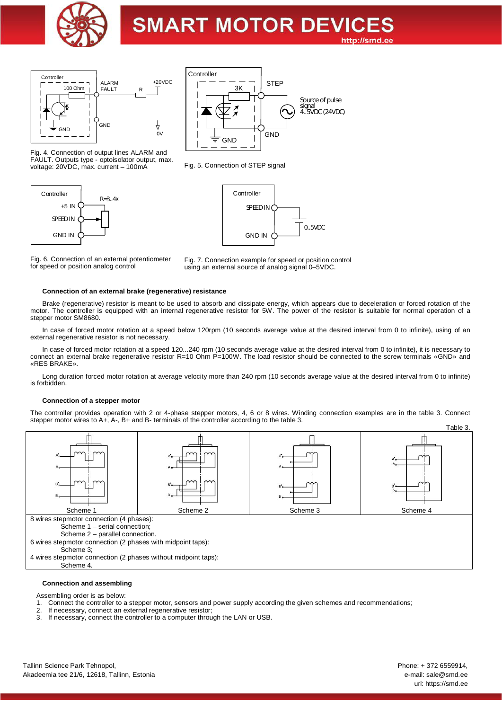



Fig. 4. Connection of output lines ALARM and

voltage: 20VDC, max. current – 100mA

**GND** Controller **GND STEP** Source of pulse signal 4..5VDC (24VDC) 3K

FAULT. Outputs type - optoisolator output, max. Fig. 5. Connection of STEP signal





Fig. 6. Connection of an external potentiometer for speed or position analog control



#### **Connection of an external brake (regenerative) resistance**

Brake (regenerative) resistor is meant to be used to absorb and dissipate energy, which appears due to deceleration or forced rotation of the motor. The controller is equipped with an internal regenerative resistor for 5W. The power of the resistor is suitable for normal operation of a stepper motor SM8680.

In case of forced motor rotation at a speed below 120rpm (10 seconds average value at the desired interval from 0 to infinite), using of an external regenerative resistor is not necessary.

In case of forced motor rotation at a speed 120...240 rpm (10 seconds average value at the desired interval from 0 to infinite), it is necessary to connect an external brake regenerative resistor R=10 Ohm P=100W. The load resistor should be connected to the screw terminals «GND» and «RES BRAKE».

Long duration forced motor rotation at average velocity more than 240 rpm (10 seconds average value at the desired interval from 0 to infinite) is forbidden.

#### **Connection of a stepper motor**

The controller provides operation with 2 or 4-phase stepper motors, 4, 6 or 8 wires. Winding connection examples are in the table 3. Connect stepper motor wires to A+, A-, B+ and B- terminals of the controller according to the table 3.



#### **Connection and assembling**

Assembling order is as below:<br>1. Connect the controller to a Connect the controller to a stepper motor, sensors and power supply according the given schemes and recommendations;

- 2. If necessary, connect an external regenerative resistor;<br>3. If necessary, connect the controller to a computer throu
- If necessary, connect the controller to a computer through the LAN or USB.

Phone: + 372 6559914, e-mail: sale@smd.ee url: https://smd.ee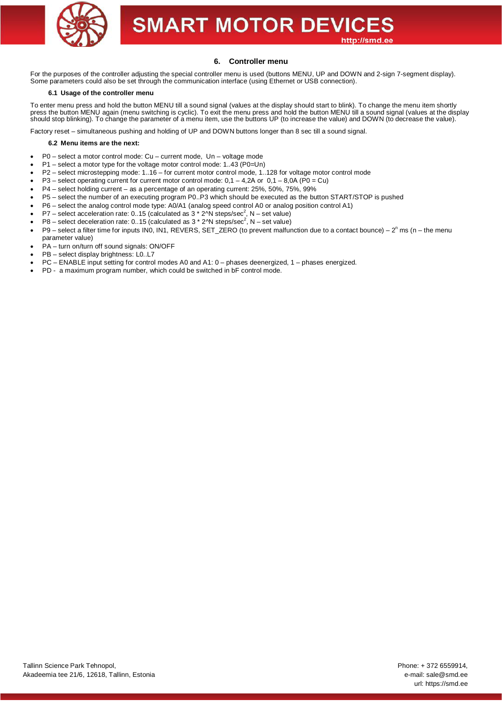

## **6. Controller menu**

For the purposes of the controller adjusting the special controller menu is used (buttons MENU, UP and DOWN and 2-sign 7-segment display). Some parameters could also be set through the communication interface (using Ethernet or USB connection).

#### **6.1 Usage of the controller menu**

To enter menu press and hold the button MENU till a sound signal (values at the display should start to blink). To change the menu item shortly press the button MENU again (menu switching is cyclic). To exit the menu press and hold the button MENU till a sound signal (values at the display should stop blinking). To change the parameter of a menu item, use the buttons UP (to increase the value) and DOWN (to decrease the value).

Factory reset – simultaneous pushing and holding of UP and DOWN buttons longer than 8 sec till a sound signal.

#### **6.2 Menu items are the next:**

- · P0 select a motor control mode: Cu current mode, Un voltage mode
- · P1 select a motor type for the voltage motor control mode: 1..43 (P0=Un)
- · P2 select microstepping mode: 1..16 for current motor control mode, 1..128 for voltage motor control mode
- $P3$  select operating current for current motor control mode:  $0,1 4,2A$  or  $0,1 8,0A$  ( $\overline{P0} = Cu$ )
- · P4 select holding current as a percentage of an operating current: 25%, 50%, 75%, 99%
- · P5 select the number of an executing program P0..P3 which should be executed as the button START/STOP is pushed
- · P6 select the analog control mode type: A0/A1 (analog speed control A0 or analog position control A1)
- P7 select acceleration rate: 0..15 (calculated as  $3 * 2^N$  steps/sec<sup>2</sup>, N set value)<br>• P8 select deceleration rate: 0..15 (calculated as  $3 * 2^N$  steps/sec<sup>2</sup>, N set value)
- 
- P9 select a filter time for inputs IN0, IN1, REVERS, SET\_ZERO (to prevent malfunction due to a contact bounce)  $2^n$  ms (n the menu parameter value)
- · PA turn on/turn off sound signals: ON/OFF
- PB select display brightness: L0..L7
- · PC ENABLE input setting for control modes A0 and A1: 0 phases deenergized, 1 phases energized.
- PD a maximum program number, which could be switched in bF control mode.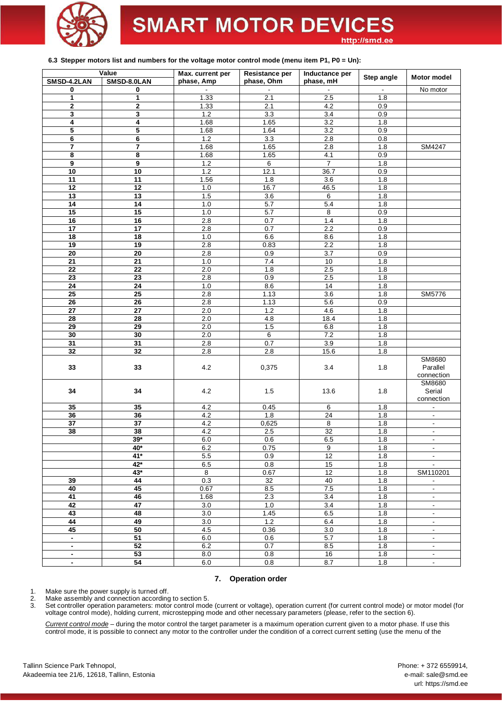

### **6.3 Stepper motors list and numbers for the voltage motor control mode (menu item P1, P0 = Un):**

|                          | Value           | Max. current per | <b>Resistance per</b> | Inductance per  |            | <b>Motor model</b>           |
|--------------------------|-----------------|------------------|-----------------------|-----------------|------------|------------------------------|
| SMSD-4.2LAN              | SMSD-8.0LAN     | phase, Amp       | phase, Ohm            | phase, mH       | Step angle |                              |
| 0                        | 0               |                  |                       |                 |            | No motor                     |
| 1                        | 1               | 1.33             | 2.1                   | 2.5             | 1.8        |                              |
| 2                        | 2               | 1.33             | 2.1                   | 4.2             | 0.9        |                              |
| 3                        | 3               | $1.2$            | 3.3                   | 3.4             | 0.9        |                              |
| 4                        | 4               | 1.68             | 1.65                  | 3.2             | 1.8        |                              |
| 5                        | 5               | 1.68             | 1.64                  | 3.2             | 0.9        |                              |
| 6                        | 6               | $1.2$            | 3.3                   | 2.8             | 0.8        |                              |
|                          |                 |                  |                       |                 |            |                              |
| $\overline{\mathbf{r}}$  | 7               | 1.68             | 1.65                  | 2.8             | 1.8        | SM4247                       |
| 8                        | 8               | 1.68             | 1.65                  | 4.1             | 0.9        |                              |
| 9                        | 9               | 1.2              | 6                     | $\overline{7}$  | 1.8        |                              |
| 10                       | 10              | 1.2              | 12.1                  | 36.7            | 0.9        |                              |
| $\overline{11}$          | $\overline{11}$ | 1.56             | 1.8                   | 3.6             | 1.8        |                              |
| 12                       | 12              | $1.0$            | 16.7                  | 46.5            | 1.8        |                              |
| 13                       | 13              | 1.5              | 3.6                   | 6               | 1.8        |                              |
| $\overline{14}$          | 14              | 1.0              | 5.7                   | 5.4             | 1.8        |                              |
| 15                       | 15              | 1.0              | 5.7                   | $\overline{8}$  | 0.9        |                              |
| 16                       | 16              | 2.8              | 0.7                   | 1.4             | 1.8        |                              |
| $\overline{17}$          | $\overline{17}$ | 2.8              | 0.7                   | 2.2             | 0.9        |                              |
| 18                       | 18              | 1.0              | 6.6                   | 8.6             | 1.8        |                              |
| 19                       | 19              | 2.8              | 0.83                  | 2.2             | 1.8        |                              |
| 20                       | 20              | 2.8              | 0.9                   | 3.7             | 0.9        |                              |
| 21                       | 21              | 1.0              | 7.4                   | 10              | 1.8        |                              |
| $\overline{22}$          | $\overline{22}$ | 2.0              | 1.8                   | 2.5             | 1.8        |                              |
| 23                       | 23              | 2.8              | 0.9                   | 2.5             | 1.8        |                              |
| 24                       | 24              | $1.0$            | 8.6                   | 14              | 1.8        |                              |
| 25                       | 25              | 2.8              |                       | 3.6             |            | <b>SM5776</b>                |
|                          |                 |                  | 1.13                  |                 | 1.8        |                              |
| 26                       | $\overline{26}$ | 2.8              | 1.13                  | 5.6             | 0.9        |                              |
| 27                       | $\overline{27}$ | 2.0              | 1.2                   | 4.6             | 1.8        |                              |
| 28                       | 28              | 2.0              | 4.8                   | 18.4            | 1.8        |                              |
| 29                       | 29              | 2.0              | $1.5$                 | $6.8\,$         | 1.8        |                              |
| 30                       | 30              | 2.0              | 6                     | 7.2             | 1.8        |                              |
| 31                       | $\overline{31}$ | 2.8              | 0.7                   | 3.9             | 1.8        |                              |
| 32                       | $\overline{32}$ | 2.8              | 2.8                   | 15.6            | 1.8        |                              |
| 33                       | 33              | 4.2              | 0,375                 | 3.4             | 1.8        | SM8680<br>Parallel           |
|                          |                 |                  |                       |                 |            | connection                   |
| 34                       | 34              | 4.2              | 1.5                   | 13.6            | 1.8        | SM8680<br>Serial             |
|                          |                 |                  |                       |                 |            | connection                   |
| 35                       | 35              | 4.2              | 0.45                  | $6\overline{6}$ | 1.8        | $\overline{\phantom{a}}$     |
| 36                       | 36              | 4.2              | 1.8                   | 24              | 1.8        | $\omega$                     |
| 37                       | 37              | 4.2              | 0,625                 | 8               | 1.8        | $\overline{\phantom{a}}$     |
| 38                       | 38              | 4.2              | 2.5                   | $\overline{32}$ | 1.8        | $\qquad \qquad \blacksquare$ |
|                          | $39*$           | 6.0              | 0.6                   | 6.5             | 1.8        | $\blacksquare$               |
|                          | 40*             |                  |                       |                 |            |                              |
|                          | $41*$           | 6.2<br>5.5       | 0.75<br>0.9           | 9<br>12         | 1.8<br>1.8 |                              |
|                          | 42*             | 6.5              | 0.8                   | 15              | 1.8        |                              |
|                          | $43*$           | $\overline{8}$   | 0.67                  | 12              | 1.8        | SM110201                     |
|                          | 44              | 0.3              |                       | 40              |            |                              |
| 39                       |                 |                  | 32                    |                 | 1.8        | $\blacksquare$               |
| 40                       | 45              | 0.67             | $8.5\,$               | 7.5             | 1.8        | $\blacksquare$               |
| 41                       | 46              | 1.68             | 2.3                   | 3.4             | 1.8        | $\blacksquare$               |
| 42                       | $\overline{47}$ | 3.0              | 1.0                   | 3.4             | 1.8        | $\blacksquare$               |
| 43                       | 48              | 3.0              | 1.45                  | 6.5             | 1.8        | $\blacksquare$               |
| 44                       | 49              | 3.0              | $1.2$                 | 6.4             | 1.8        | $\overline{a}$               |
| 45                       | 50              | 4.5              | 0.36                  | 3.0             | 1.8        | $\blacksquare$               |
| $\overline{\phantom{a}}$ | $\overline{51}$ | 6.0              | 0.6                   | 5.7             | 1.8        | $\overline{\phantom{a}}$     |
| $\blacksquare$           | 52              | 6.2              | 0.7                   | 8.5             | 1.8        | $\blacksquare$               |
| $\overline{\phantom{a}}$ | 53              | $8.0\,$          | 0.8                   | 16              | 1.8        | $\blacksquare$               |
| $\blacksquare$           | 54              | 6.0              | 0.8                   | 8.7             | 1.8        | $\blacksquare$               |

## **7. Operation order**

1. Make sure the power supply is turned off.<br>
2. Make assembly and connection according<br>
3. Set controller operation parameters: moto

Make assembly and connection according to section 5.

3. Set controller operation parameters: motor control mode (current or voltage), operation current (for current control mode) or motor model (for voltage control mode), holding current, microstepping mode and other necessary parameters (please, refer to the section 6).

*Current control mode* – during the motor control the target parameter is a maximum operation current given to a motor phase. If use this control mode, it is possible to connect any motor to the controller under the condition of a correct current setting (use the menu of the

Tallinn Science Park Tehnopol, Akadeemia tee 21/6, 12618, Tallinn, Estonia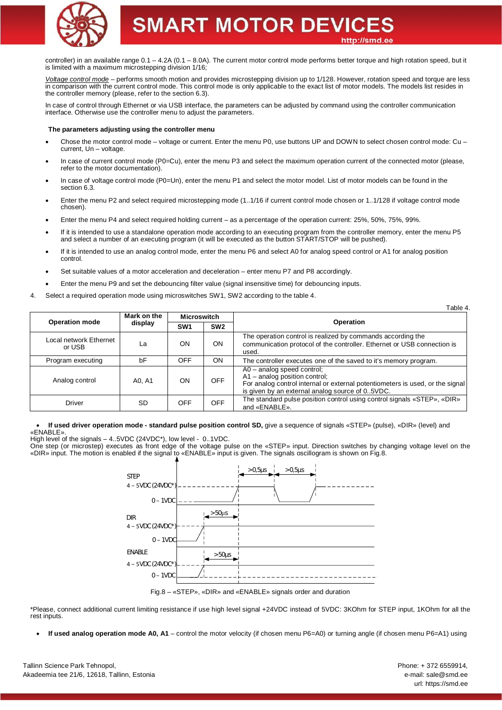

controller) in an available range  $0.1 - 4.2A$  (0.1 – 8.0A). The current motor control mode performs better torque and high rotation speed, but it is limited with a maximum microstepping division 1/16;

*Voltage control mode* – performs smooth motion and provides microstepping division up to 1/128. However, rotation speed and torque are less in comparison with the current control mode. This control mode is only applicable to the exact list of motor models. The models list resides in the controller memory (please, refer to the section 6.3).

In case of control through Ethernet or via USB interface, the parameters can be adjusted by command using the controller communication interface. Otherwise use the controller menu to adjust the parameters.

#### **The parameters adjusting using the controller menu**

- Chose the motor control mode voltage or current. Enter the menu P0, use buttons UP and DOWN to select chosen control mode: Cu current, Un – voltage.
- In case of current control mode (P0=Cu), enter the menu P3 and select the maximum operation current of the connected motor (please, refer to the motor documentation).
- In case of voltage control mode (P0=Un), enter the menu P1 and select the motor model. List of motor models can be found in the section 6.3.
- · Enter the menu P2 and select required microstepping mode (1..1/16 if current control mode chosen or 1..1/128 if voltage control mode chosen).
- Enter the menu P4 and select required holding current as a percentage of the operation current: 25%, 50%, 75%, 99%.
- · If it is intended to use a standalone operation mode according to an executing program from the controller memory, enter the menu P5 and select a number of an executing program (it will be executed as the button START/STOP will be pushed).
- If it is intended to use an analog control mode, enter the menu P6 and select A0 for analog speed control or A1 for analog position control.
- Set suitable values of a motor acceleration and deceleration enter menu P7 and P8 accordingly.
- · Enter the menu P9 and set the debouncing filter value (signal insensitive time) for debouncing inputs.
- 4. Select a required operation mode using microswitches SW1, SW2 according to the table 4.

|                                  |             |                    |                 | Table 4                                                                                                                                                                                             |  |
|----------------------------------|-------------|--------------------|-----------------|-----------------------------------------------------------------------------------------------------------------------------------------------------------------------------------------------------|--|
|                                  | Mark on the | <b>Microswitch</b> |                 |                                                                                                                                                                                                     |  |
| <b>Operation mode</b>            | display     |                    | SW <sub>2</sub> | Operation                                                                                                                                                                                           |  |
| Local network Ethernet<br>or USB | La          | ON                 | <b>ON</b>       | The operation control is realized by commands according the<br>communication protocol of the controller. Ethernet or USB connection is<br>used.                                                     |  |
| Program executing                | bF          | <b>OFF</b>         | ON              | The controller executes one of the saved to it's memory program.                                                                                                                                    |  |
| Analog control                   | A0, A1      | ON                 | <b>OFF</b>      | $AO - analog speed control;$<br>$A1$ – analog position control;<br>For analog control internal or external potentiometers is used, or the signal<br>is given by an external analog source of 05VDC. |  |
| <b>Driver</b>                    | <b>SD</b>   | <b>OFF</b>         | <b>OFF</b>      | The standard pulse position control using control signals «STEP», «DIR»<br>and «ENABLE».                                                                                                            |  |

· **If used driver operation mode - standard pulse position control SD,** give a sequence of signals «STEP» (pulse), «DIR» (level) and «ENABLE».

High level of the signals – 4..5VDC (24VDC\*), low level - 0..1VDC.

One step (or microstep) executes as front edge of the voltage pulse on the «STEP» input. Direction switches by changing voltage level on the «DIR» input. The motion is enabled if the signal to «ENABLE» input is given. The signals oscillogram is shown on Fig.8.



Fig.8 – «STEP», «DIR» and «ENABLE» signals order and duration

\*Please, connect additional current limiting resistance if use high level signal +24VDC instead of 5VDC: 3KOhm for STEP input, 1KOhm for all the rest inputs.

If used analog operation mode A0, A1 – control the motor velocity (if chosen menu P6=A0) or turning angle (if chosen menu P6=A1) using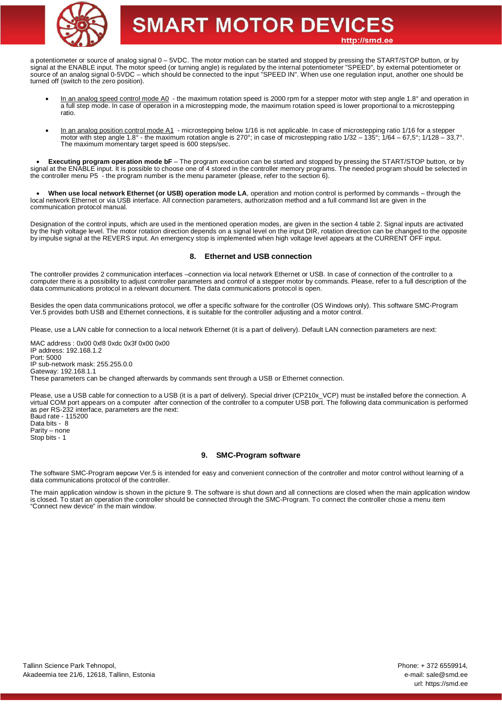

a potentiometer or source of analog signal 0 – 5VDC. The motor motion can be started and stopped by pressing the START/STOP button, or by signal at the ENABLE input. The motor speed (or turning angle) is regulated by the internal potentiometer "SPEED", by external potentiometer or source of an analog signal 0-5VDC – which should be connected to the input "SPEED IN". When use one regulation input, another one should be turned off (switch to the zero position).

- · In an analog speed control mode A0 the maximum rotation speed is 2000 rpm for a stepper motor with step angle 1.8° and operation in a full step mode. In case of operation in a microstepping mode, the maximum rotation speed is lower proportional to a microstepping ratio.
- In an analog position control mode A1 microstepping below 1/16 is not applicable. In case of microstepping ratio 1/16 for a stepper motor with step angle 1.8° - the maximum rotation angle is 270°; in case of microstepping ratio 1/32 – 135°; 1/64 – 67,5°; 1/128 – 33,7°. The maximum momentary target speed is 600 steps/sec.

· **Executing program operation mode bF** – The program execution can be started and stopped by pressing the START/STOP button, or by signal at the ENABLE input. It is possible to choose one of 4 stored in the controller memory programs. The needed program should be selected in the controller menu P5 - the program number is the menu parameter (please, refer to the section 6).

· **When use local network Ethernet (or USB) operation mode LA**, operation and motion control is performed by commands – through the local network Ethernet or via USB interface. All connection parameters, authorization method and a full command list are given in the communication protocol manual.

Designation of the control inputs, which are used in the mentioned operation modes, are given in the section 4 table 2. Signal inputs are activated by the high voltage level. The motor rotation direction depends on a signal level on the input DIR, rotation direction can be changed to the opposite by impulse signal at the REVERS input. An emergency stop is implemented when high voltage level appears at the CURRENT OFF input.

### **8. Ethernet and USB connection**

The controller provides 2 communication interfaces –connection via local network Ethernet or USB. In case of connection of the controller to a computer there is a possibility to adjust controller parameters and control of a stepper motor by commands. Please, refer to a full description of the data communications protocol in a relevant document. The data communications protocol is open.

Besides the open data communications protocol, we offer a specific software for the controller (OS Windows only). This software SMC-Program Ver.5 provides both USB and Ethernet connections, it is suitable for the controller adjusting and a motor control.

Please, use a LAN cable for connection to a local network Ethernet (it is a part of delivery). Default LAN connection parameters are next:

MAC address : 0x00 0xf8 0xdc 0x3f 0x00 0x00 IP address: 192.168.1.2 Port: 5000 IP sub-network mask: 255.255.0.0 Gateway: 192.168.1.1 These parameters can be changed afterwards by commands sent through a USB or Ethernet connection.

Please, use a USB cable for connection to a USB (it is a part of delivery). Special driver (CP210x VCP) must be installed before the connection. A virtual COM port appears on a computer after connection of the controller to a computer USB port. The following data communication is performed as per RS-232 interface, parameters are the next: Baud rate - 115200

Data bits - 8 Parity – none Stop bits - 1

### **9. SMC-Program software**

The software SMC-Program версии Ver.5 is intended for easy and convenient connection of the controller and motor control without learning of a data communications protocol of the controller.

The main application window is shown in the picture 9. The software is shut down and all connections are closed when the main application window is closed. To start an operation the controller should be connected through the SMC-Program. To connect the controller chose a menu item "Connect new device" in the main window.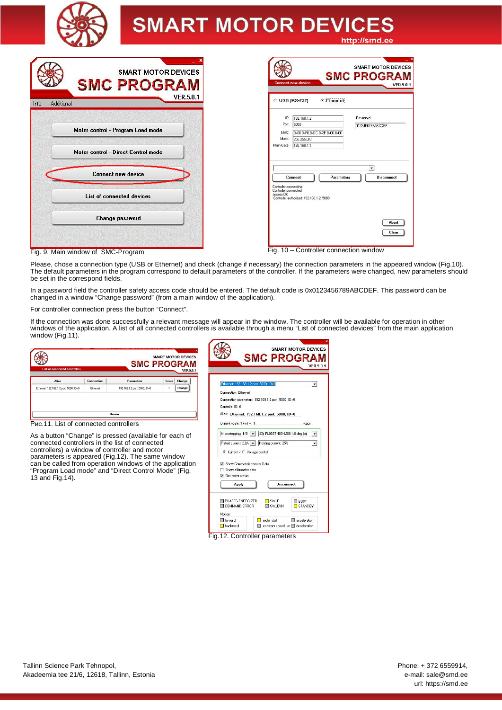

|      | <b>SMART MOTOR DEVICES</b><br><b>SMC PROGRAM</b> |
|------|--------------------------------------------------|
| Info | <b>VER.5.0.1</b><br>Additional                   |
|      |                                                  |
|      | Motor control - Program Load mode                |
|      | <b>Motor control - Direct Control mode</b>       |
|      | <b>Connect new device</b>                        |
|      |                                                  |
|      | List of connected devices                        |
|      | <b>Change password</b>                           |
|      |                                                  |

|                                                            | <b>Connect new device</b>                                                          | ×<br><b>SMART MOTOR DEVICES</b><br><b>SMC PROGRAM</b><br><b>VER.5.0.1</b> |
|------------------------------------------------------------|------------------------------------------------------------------------------------|---------------------------------------------------------------------------|
|                                                            | <b>Ethernet</b><br>$C$ USB (RS-232)                                                |                                                                           |
| IP<br>Port<br>MAC.<br>Mask<br>Main Gate                    | 192 168 1 2<br>5000<br>0x00 0xE8 0xDC 0x3E 0x00 0x00<br>255.255.0.0<br>192.168.1.1 | Password<br>0123456789ABCDEF                                              |
| Controller connecting<br>Controller connected<br>access OK | <b>Connect</b><br><b>Parameters</b><br>Controller authorized: 192 168 1.2: 5000    | $\blacktriangledown$<br><b>Disconnect</b>                                 |

Fig. 9. Main window of SMC-Program Fig. 10 – Controller connection window

Please, chose a connection type (USB or Ethernet) and check (change if necessary) the connection parameters in the appeared window (Fig.10). The default parameters in the program correspond to default parameters of the controller. If the parameters were changed, new parameters should be set in the correspond fields.

In a password field the controller safety access code should be entered. The default code is 0x0123456789ABCDEF. This password can be changed in a window "Change password" (from a main window of the application).

For controller connection press the button "Connect".

"Program Load mode" and "Direct Control Mode" (Fig.

13 and Fig.14).

If the connection was done successfully a relevant message will appear in the window. The controller will be available for operation in other windows of the application. A list of all connected controllers is available through a menu "List of connected devices" from the main application window (Fig.11).

| <b>List of connected controllers</b>                                                                        |            | <b>SMC PROGRAM</b>           |       | <b>SMART MOTOR DEVICES</b><br><b>VER.5.0.1</b> |                                           | <b>SMART MOTOR DEVICES</b><br><b>SMC PROGRAM</b>    | <b>VER.5.0.1</b>         |
|-------------------------------------------------------------------------------------------------------------|------------|------------------------------|-------|------------------------------------------------|-------------------------------------------|-----------------------------------------------------|--------------------------|
| Alias                                                                                                       | Connection | Parameters                   | Scale | Change                                         | Ethernet: 192.168.1.2 port: 5000; ID=0    |                                                     |                          |
| Ethernet: 192.168.1.2 port: 5000: ID=0                                                                      | Ethemet    | 192.168.1.2 port: 5000: ID=0 |       | Change                                         | Connection: Ethernet                      |                                                     |                          |
|                                                                                                             |            |                              |       |                                                |                                           | Connection parameters: 192.168.1.2 port: 5000; ID=0 |                          |
|                                                                                                             |            |                              |       |                                                | Controller ID: 0                          |                                                     |                          |
|                                                                                                             |            | <b>Benew</b>                 |       |                                                |                                           | Alias: Ethernet: 192.168.1.2 port: 5000: ID=0       |                          |
| Puc.11. List of connected controllers                                                                       |            |                              |       |                                                | Current scale: 1 unit = 1                 | steps                                               |                          |
| As a button "Change" is pressed (available for each of                                                      |            |                              |       |                                                | Microstepping: 1/8 -                      | 33] FL86STH80-4208 1.8 deg (p)                      | $\checkmark$             |
| connected controllers in the list of connected                                                              |            |                              |       |                                                | Rated current: 2.8A v                     | Holding current: 25%                                | $\overline{\phantom{a}}$ |
| controllers) a window of controller and motor                                                               |            |                              |       |                                                | Current / C Voltage control<br>$\epsilon$ |                                                     |                          |
| parameters is appeared (Fig.12). The same window<br>can be called from operation windows of the application |            |                              |       |                                                | Show Commands transfer Data               |                                                     |                          |

| Show Commands transfer Data |                   |                                    |
|-----------------------------|-------------------|------------------------------------|
|                             |                   |                                    |
|                             |                   |                                    |
|                             | <b>Disconnect</b> |                                    |
|                             |                   |                                    |
| $\Box$ SW F                 |                   | <b>BUSY</b>                        |
|                             |                   | <b>STANDBY</b><br>$\square$ sw evn |

Fig.12. Controller parameters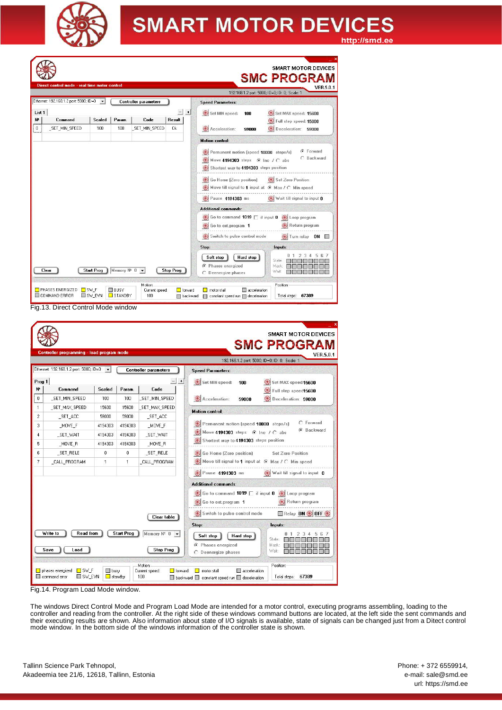

SMART MOTOR DEVICES **SMC PROGRAM VER.5.0.1** 192.168.1.2 port: 5000; ID=0; ID: 0; Scale: 1 Ethernet: 192.168.1.2 port: 5000: ID=0  $\overline{\phantom{a}}$ Controller parameters **Speed Parameters:** List 1  $-1+$ Set MIN speed: 100 Set MAX speed: 15600 Scaled |  $|$  Result  $|$  $\mathbf{r}$ Command Param. Code Full step speed: 15600 \_SET\_MIN\_SPEED  $\overline{100}$  $100$ \_SET\_MIN\_SPEED  $\overline{0k}$  $\overline{0}$ Deceleration: 59000 Acceleration: 59000 **Motion control:** C Forward Permanent motion (speed 10000 steps/s) C Backward Move 4194303 steps @ Inc / C abs Shortest way to 4194303 steps position Go Home (Zero position) Set Zero Position Move till signal to 1 input at @ Max / C Min speed Pause 4194303 ms Wait till signal to input 0 **Additional commands:** Go to command 1019 | if input 0 G Loop program Return program Go to ext.program 1 Switch to pulse control mode Turn relay ON Ston: Inputs:  $\begin{array}{|c|c|c|c|c|}\hline 0 & 1 & 2 & 3 & 4 & 5 & 6 & 7 \\ \hline \hline \textbf{11} & \textbf{12} & \textbf{13} & \textbf{15} & \textbf{16} & \textbf{17} \\ \hline \textbf{12} & \textbf{13} & \textbf{14} & \textbf{15} & \textbf{18} & \textbf{18} \\ \hline \textbf{13} & \textbf{14} & \textbf{15} & \textbf{16} & \textbf{18} & \textbf{18} \\ \hline \textbf{14} & \textbf{15} & \text$ Soft stop | Hard stop C Phases energized Mask: Clear Start Prog Memory Nº 0 + Stop Prog .<br>Wait  $\hat{C}$  Deenergize phases Motion: Position □ forward □ motor stall □ acceleration<br>□ backward □ constant speed run □ deceleration PHASES ENERGIZED FSW\_F  $\Box$  BUSY Current speed:<br>100 Total steps: 67389 COMMAND ERROR SW\_EVN STANDBY

Fig.13. Direct Control Mode window

| <b>VER 5.0.1</b><br>192.168.1.2 port: 5000; ID=0; ID: 0; Scale: 1        |                              |                   |               | Controller programming - load program mode |                |
|--------------------------------------------------------------------------|------------------------------|-------------------|---------------|--------------------------------------------|----------------|
| <b>Speed Parameters:</b>                                                 | <b>Controller parameters</b> |                   |               | Ethernet: 192.168.1.2 port: 5000; ID=0     |                |
| Set MIN speed:<br>100<br>Set MAX speed:15600                             | $+$                          |                   |               |                                            | Prog 1         |
| Full step speed15600                                                     | Code                         | Param.            | <b>Scaled</b> | Command                                    | N۴             |
| Acceleration:<br>Deceleration: 59000<br>59000                            | SET_MIN_SPEED                | 100               | 100           | _SET_MIN_SPEED                             | 0              |
| <b>Motion control:</b>                                                   | SET MAX SPEED                | 15600             | 15600         | _SET_MAX_SPEED                             | $\mathbf{1}$   |
|                                                                          | _SET_ACC                     | 59000             | 59000         | _SET_ACC                                   | $\overline{c}$ |
| C Forward<br>Permanent motion (speed 10000 steps/s)<br><b>G</b> Backward | MOVE F                       | 4194303           | 4194303       | MOVE F                                     | 3              |
| Move 4194303 steps G Inc / C abs                                         | _SET_WAIT                    | 4194303           | 4194303       | _SET_WAIT                                  | $\overline{4}$ |
| Shortest way to 4194303 steps position                                   | MOVE R                       | 4194303           | 4194303       | _MOVE_R                                    | 5              |
| Go Home (Zero position)<br>Set Zero Position                             | SET RELE                     | $\Omega$          | 0             | SET RELE                                   | 6              |
| Move till signal to 1 input at @ Max / C Min speed                       | CALL PROGRAM                 | 1                 | 1             | CALL PROGRAM                               | 7              |
| <b>B</b> Pause 4194303 ms<br>Wait till signal to input 0                 |                              |                   |               |                                            |                |
| <b>Additional commands:</b>                                              |                              |                   |               |                                            |                |
| Go to command 1019   if input 0 (a) Loop program                         |                              |                   |               |                                            |                |
| Return program<br>Go to ext.program 1                                    |                              |                   |               |                                            |                |
| Switch to pulse control mode<br>Relay ON <b>OFF</b>                      |                              |                   |               |                                            |                |
|                                                                          | Clear table                  |                   |               |                                            |                |
| Stop:<br>Inputs:<br>2<br>з<br>5                                          | Memory $N^*$ 0 $\rightarrow$ | <b>Start Prog</b> |               | <b>Read from</b><br>Write to               |                |
| Hard stop<br>Soft stop<br>State:                                         |                              |                   |               |                                            |                |
| C Phases energized<br>Mask:<br>Wait:<br>C Deenergize phases              | <b>Stop Prog</b>             |                   |               | Save<br>Load                               |                |

Fig.14. Program Load Mode window.

The windows Direct Control Mode and Program Load Mode are intended for a motor control, executing programs assembling, loading to the controller and reading from the controller. At the right side of these windows command buttons are located, at the left side the sent commands and their executing results are shown. Also information about state of I/O signals is available, state of signals can be changed just from a Ditect control mode window. In the bottom side of the windows information of the controller state is shown.

Phone: + 372 6559914, e-mail: sale@smd.ee url: https://smd.ee